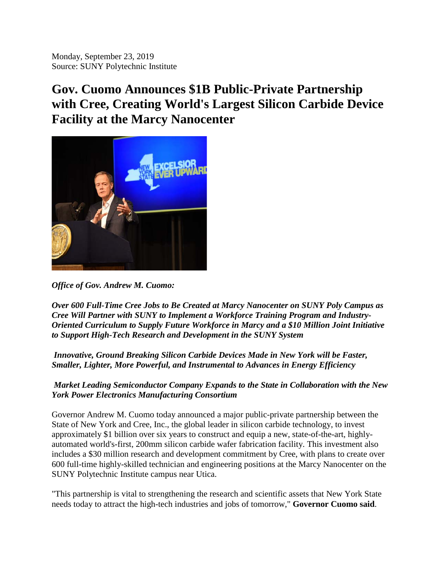Monday, September 23, 2019 Source: SUNY Polytechnic Institute

## **Gov. Cuomo Announces \$1B Public-Private Partnership with Cree, Creating World's Largest Silicon Carbide Device Facility at the Marcy Nanocenter**



*Office of Gov. Andrew M. Cuomo:*

*Over 600 Full-Time Cree Jobs to Be Created at Marcy Nanocenter on SUNY Poly Campus as Cree Will Partner with SUNY to Implement a Workforce Training Program and Industry-Oriented Curriculum to Supply Future Workforce in Marcy and a \$10 Million Joint Initiative to Support High-Tech Research and Development in the SUNY System*

*Innovative, Ground Breaking Silicon Carbide Devices Made in New York will be Faster, Smaller, Lighter, More Powerful, and Instrumental to Advances in Energy Efficiency*

*Market Leading Semiconductor Company Expands to the State in Collaboration with the New York Power Electronics Manufacturing Consortium*

Governor Andrew M. Cuomo today announced a major public-private partnership between the State of New York and Cree, Inc., the global leader in silicon carbide technology, to invest approximately \$1 billion over six years to construct and equip a new, state-of-the-art, highlyautomated world's-first, 200mm silicon carbide wafer fabrication facility. This investment also includes a \$30 million research and development commitment by Cree, with plans to create over 600 full-time highly-skilled technician and engineering positions at the Marcy Nanocenter on the SUNY Polytechnic Institute campus near Utica.

"This partnership is vital to strengthening the research and scientific assets that New York State needs today to attract the high-tech industries and jobs of tomorrow," **Governor Cuomo said**.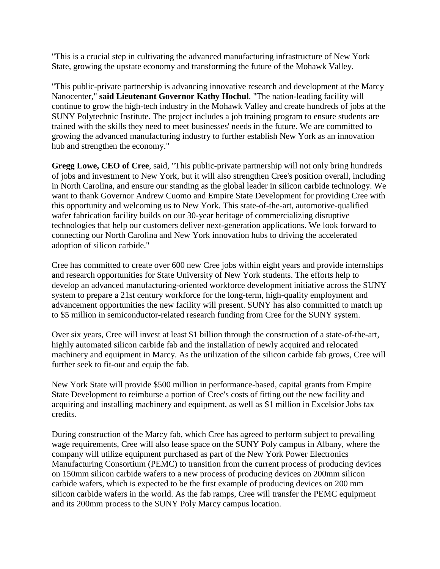"This is a crucial step in cultivating the advanced manufacturing infrastructure of New York State, growing the upstate economy and transforming the future of the Mohawk Valley.

"This public-private partnership is advancing innovative research and development at the Marcy Nanocenter," **said Lieutenant Governor Kathy Hochul**. "The nation-leading facility will continue to grow the high-tech industry in the Mohawk Valley and create hundreds of jobs at the SUNY Polytechnic Institute. The project includes a job training program to ensure students are trained with the skills they need to meet businesses' needs in the future. We are committed to growing the advanced manufacturing industry to further establish New York as an innovation hub and strengthen the economy."

**Gregg Lowe, CEO of Cree**, said, "This public-private partnership will not only bring hundreds of jobs and investment to New York, but it will also strengthen Cree's position overall, including in North Carolina, and ensure our standing as the global leader in silicon carbide technology. We want to thank Governor Andrew Cuomo and Empire State Development for providing Cree with this opportunity and welcoming us to New York. This state-of-the-art, automotive-qualified wafer fabrication facility builds on our 30-year heritage of commercializing disruptive technologies that help our customers deliver next-generation applications. We look forward to connecting our North Carolina and New York innovation hubs to driving the accelerated adoption of silicon carbide."

Cree has committed to create over 600 new Cree jobs within eight years and provide internships and research opportunities for State University of New York students. The efforts help to develop an advanced manufacturing-oriented workforce development initiative across the SUNY system to prepare a 21st century workforce for the long-term, high-quality employment and advancement opportunities the new facility will present. SUNY has also committed to match up to \$5 million in semiconductor-related research funding from Cree for the SUNY system.

Over six years, Cree will invest at least \$1 billion through the construction of a state-of-the-art, highly automated silicon carbide fab and the installation of newly acquired and relocated machinery and equipment in Marcy. As the utilization of the silicon carbide fab grows, Cree will further seek to fit-out and equip the fab.

New York State will provide \$500 million in performance-based, capital grants from Empire State Development to reimburse a portion of Cree's costs of fitting out the new facility and acquiring and installing machinery and equipment, as well as \$1 million in Excelsior Jobs tax credits.

During construction of the Marcy fab, which Cree has agreed to perform subject to prevailing wage requirements, Cree will also lease space on the SUNY Poly campus in Albany, where the company will utilize equipment purchased as part of the New York Power Electronics Manufacturing Consortium (PEMC) to transition from the current process of producing devices on 150mm silicon carbide wafers to a new process of producing devices on 200mm silicon carbide wafers, which is expected to be the first example of producing devices on 200 mm silicon carbide wafers in the world. As the fab ramps, Cree will transfer the PEMC equipment and its 200mm process to the SUNY Poly Marcy campus location.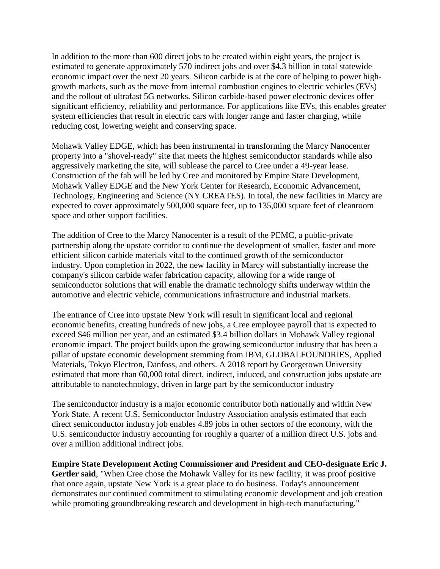In addition to the more than 600 direct jobs to be created within eight years, the project is estimated to generate approximately 570 indirect jobs and over \$4.3 billion in total statewide economic impact over the next 20 years. Silicon carbide is at the core of helping to power highgrowth markets, such as the move from internal combustion engines to electric vehicles (EVs) and the rollout of ultrafast 5G networks. Silicon carbide-based power electronic devices offer significant efficiency, reliability and performance. For applications like EVs, this enables greater system efficiencies that result in electric cars with longer range and faster charging, while reducing cost, lowering weight and conserving space.

Mohawk Valley EDGE, which has been instrumental in transforming the Marcy Nanocenter property into a "shovel-ready" site that meets the highest semiconductor standards while also aggressively marketing the site, will sublease the parcel to Cree under a 49-year lease. Construction of the fab will be led by Cree and monitored by Empire State Development, Mohawk Valley EDGE and the New York Center for Research, Economic Advancement, Technology, Engineering and Science (NY CREATES). In total, the new facilities in Marcy are expected to cover approximately 500,000 square feet, up to 135,000 square feet of cleanroom space and other support facilities.

The addition of Cree to the Marcy Nanocenter is a result of the PEMC, a public-private partnership along the upstate corridor to continue the development of smaller, faster and more efficient silicon carbide materials vital to the continued growth of the semiconductor industry. Upon completion in 2022, the new facility in Marcy will substantially increase the company's silicon carbide wafer fabrication capacity, allowing for a wide range of semiconductor solutions that will enable the dramatic technology shifts underway within the automotive and electric vehicle, communications infrastructure and industrial markets.

The entrance of Cree into upstate New York will result in significant local and regional economic benefits, creating hundreds of new jobs, a Cree employee payroll that is expected to exceed \$46 million per year, and an estimated \$3.4 billion dollars in Mohawk Valley regional economic impact. The project builds upon the growing semiconductor industry that has been a pillar of upstate economic development stemming from IBM, GLOBALFOUNDRIES, Applied Materials, Tokyo Electron, Danfoss, and others. A 2018 report by Georgetown University estimated that more than 60,000 total direct, indirect, induced, and construction jobs upstate are attributable to nanotechnology, driven in large part by the semiconductor industry

The semiconductor industry is a major economic contributor both nationally and within New York State. A recent U.S. Semiconductor Industry Association analysis estimated that each direct semiconductor industry job enables 4.89 jobs in other sectors of the economy, with the U.S. semiconductor industry accounting for roughly a quarter of a million direct U.S. jobs and over a million additional indirect jobs.

**Empire State Development Acting Commissioner and President and CEO-designate Eric J. Gertler said**, "When Cree chose the Mohawk Valley for its new facility, it was proof positive that once again, upstate New York is a great place to do business. Today's announcement demonstrates our continued commitment to stimulating economic development and job creation while promoting groundbreaking research and development in high-tech manufacturing."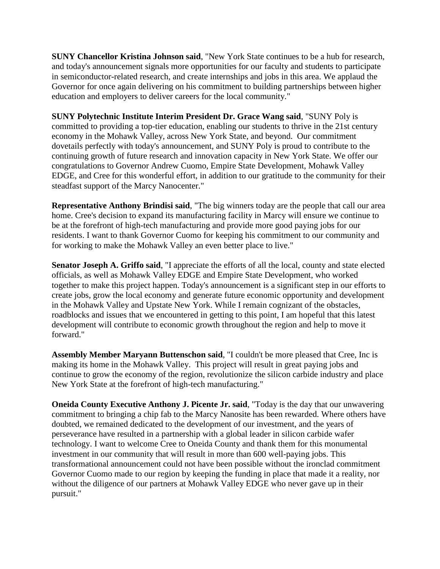**SUNY Chancellor Kristina Johnson said**, "New York State continues to be a hub for research, and today's announcement signals more opportunities for our faculty and students to participate in semiconductor-related research, and create internships and jobs in this area. We applaud the Governor for once again delivering on his commitment to building partnerships between higher education and employers to deliver careers for the local community."

**SUNY Polytechnic Institute Interim President Dr. Grace Wang said**, "SUNY Poly is committed to providing a top-tier education, enabling our students to thrive in the 21st century economy in the Mohawk Valley, across New York State, and beyond. Our commitment dovetails perfectly with today's announcement, and SUNY Poly is proud to contribute to the continuing growth of future research and innovation capacity in New York State. We offer our congratulations to Governor Andrew Cuomo, Empire State Development, Mohawk Valley EDGE, and Cree for this wonderful effort, in addition to our gratitude to the community for their steadfast support of the Marcy Nanocenter."

**Representative Anthony Brindisi said**, "The big winners today are the people that call our area home. Cree's decision to expand its manufacturing facility in Marcy will ensure we continue to be at the forefront of high-tech manufacturing and provide more good paying jobs for our residents. I want to thank Governor Cuomo for keeping his commitment to our community and for working to make the Mohawk Valley an even better place to live."

**Senator Joseph A. Griffo said**, "I appreciate the efforts of all the local, county and state elected officials, as well as Mohawk Valley EDGE and Empire State Development, who worked together to make this project happen. Today's announcement is a significant step in our efforts to create jobs, grow the local economy and generate future economic opportunity and development in the Mohawk Valley and Upstate New York. While I remain cognizant of the obstacles, roadblocks and issues that we encountered in getting to this point, I am hopeful that this latest development will contribute to economic growth throughout the region and help to move it forward."

**Assembly Member Maryann Buttenschon said**, "I couldn't be more pleased that Cree, Inc is making its home in the Mohawk Valley. This project will result in great paying jobs and continue to grow the economy of the region, revolutionize the silicon carbide industry and place New York State at the forefront of high-tech manufacturing."

**Oneida County Executive Anthony J. Picente Jr. said**, "Today is the day that our unwavering commitment to bringing a chip fab to the Marcy Nanosite has been rewarded. Where others have doubted, we remained dedicated to the development of our investment, and the years of perseverance have resulted in a partnership with a global leader in silicon carbide wafer technology. I want to welcome Cree to Oneida County and thank them for this monumental investment in our community that will result in more than 600 well-paying jobs. This transformational announcement could not have been possible without the ironclad commitment Governor Cuomo made to our region by keeping the funding in place that made it a reality, nor without the diligence of our partners at Mohawk Valley EDGE who never gave up in their pursuit."